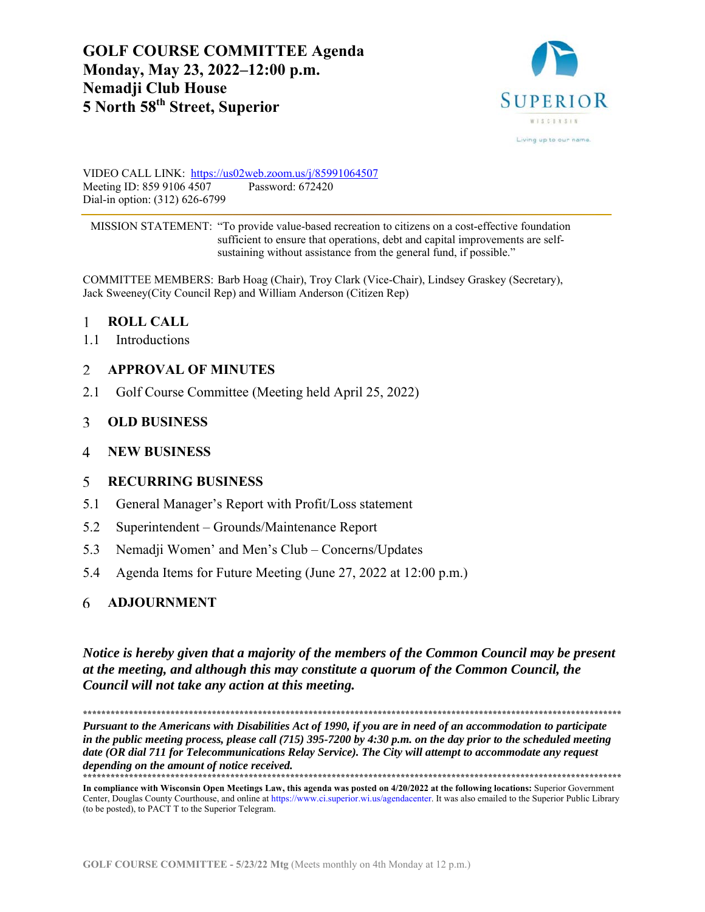# **GOLF COURSE COMMITTEE Agenda Monday, May 23, 2022–12:00 p.m. Nemadji Club House 5 North 58th Street, Superior**



VIDEO CALL LINK: https://us02web.zoom.us/j/85991064507 Meeting ID: 859 9106 4507 Password: 672420 Dial-in option: (312) 626-6799

 MISSION STATEMENT: "To provide value-based recreation to citizens on a cost-effective foundation sufficient to ensure that operations, debt and capital improvements are self sustaining without assistance from the general fund, if possible."

COMMITTEE MEMBERS: Barb Hoag (Chair), Troy Clark (Vice-Chair), Lindsey Graskey (Secretary), Jack Sweeney(City Council Rep) and William Anderson (Citizen Rep)

#### $\mathbf{1}$ **ROLL CALL**

1.1 Introductions

#### $\mathfrak{D}$ **APPROVAL OF MINUTES**

2.1 Golf Course Committee (Meeting held April 25, 2022)

#### 3 **OLD BUSINESS**

#### **NEW BUSINESS**  4

#### **RECURRING BUSINESS**  5

- 5.1 General Manager's Report with Profit/Loss statement
- 5.2 Superintendent Grounds/Maintenance Report
- 5.3 Nemadji Women' and Men's Club Concerns/Updates
- 5.4 Agenda Items for Future Meeting (June 27, 2022 at 12:00 p.m.)

#### **ADJOURNMENT** 6

*Notice is hereby given that a majority of the members of the Common Council may be present at the meeting, and although this may constitute a quorum of the Common Council, the Council will not take any action at this meeting.* 

**\*\*\*\*\*\*\*\*\*\*\*\*\*\*\*\*\*\*\*\*\*\*\*\*\*\*\*\*\*\*\*\*\*\*\*\*\*\*\*\*\*\*\*\*\*\*\*\*\*\*\*\*\*\*\*\*\*\*\*\*\*\*\*\*\*\*\*\*\*\*\*\*\*\*\*\*\*\*\*\*\*\*\*\*\*\*\*\*\*\*\*\*\*\*\*\*\*\*\*\*\*\*\*\*\*\*\*\*\*\*\*\*\*\*\*\*\*** 

*Pursuant to the Americans with Disabilities Act of 1990, if you are in need of an accommodation to participate in the public meeting process, please call (715) 395-7200 by 4:30 p.m. on the day prior to the scheduled meeting date (OR dial 711 for Telecommunications Relay Service). The City will attempt to accommodate any request depending on the amount of notice received.* **\*\*\*\*\*\*\*\*\*\*\*\*\*\*\*\*\*\*\*\*\*\*\*\*\*\*\*\*\*\*\*\*\*\*\*\*\*\*\*\*\*\*\*\*\*\*\*\*\*\*\*\*\*\*\*\*\*\*\*\*\*\*\*\*\*\*\*\*\*\*\*\*\*\*\*\*\*\*\*\*\*\*\*\*\*\*\*\*\*\*\*\*\*\*\*\*\*\*\*\*\*\*\*\*\*\*\*\*\*\*\*\*\*\*\*\*\*** 

**In compliance with Wisconsin Open Meetings Law, this agenda was posted on 4/20/2022 at the following locations:** Superior Government Center, Douglas County Courthouse, and online at https://www.ci.superior.wi.us/agendacenter. It was also emailed to the Superior Public Library (to be posted), to PACT T to the Superior Telegram.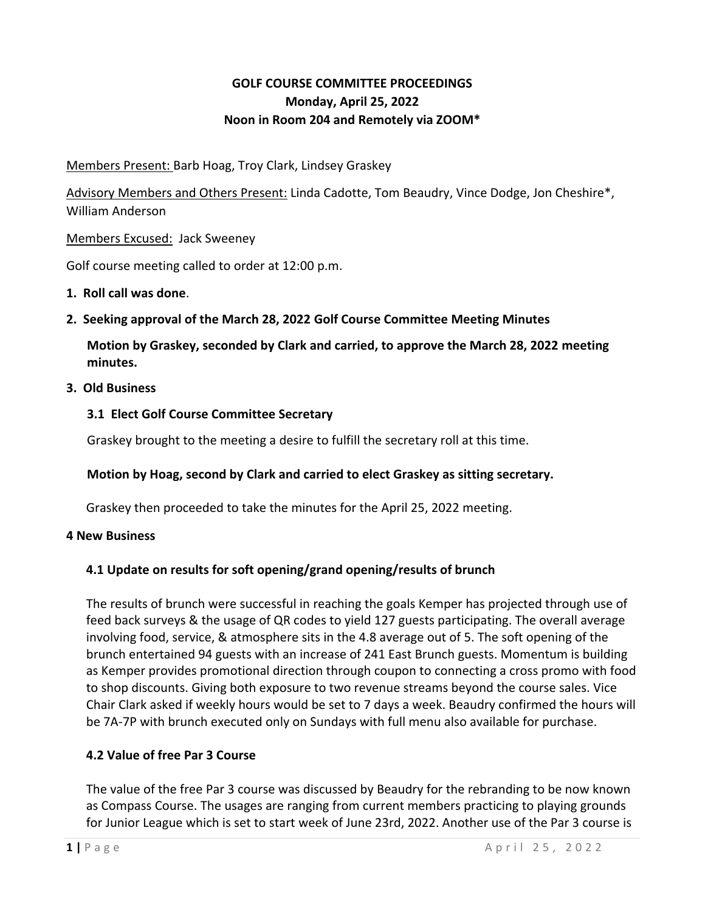# **GOLF COURSE COMMITTEE PROCEEDINGS Monday, April 25, 2022 Noon in Room 204 and Remotely via ZOOM\***

Members Present: Barb Hoag, Troy Clark, Lindsey Graskey

Advisory Members and Others Present: Linda Cadotte, Tom Beaudry, Vince Dodge, Jon Cheshire\*, William Anderson

Members Excused: Jack Sweeney

Golf course meeting called to order at 12:00 p.m.

## **1. Roll call was done**.

**2. Seeking approval of the March 28, 2022 Golf Course Committee Meeting Minutes** 

**Motion by Graskey, seconded by Clark and carried, to approve the March 28, 2022 meeting minutes.** 

## **3. Old Business**

## **3.1 Elect Golf Course Committee Secretary**

Graskey brought to the meeting a desire to fulfill the secretary roll at this time.

# **Motion by Hoag, second by Clark and carried to elect Graskey as sitting secretary.**

Graskey then proceeded to take the minutes for the April 25, 2022 meeting.

## **4 New Business**

# **4.1 Update on results for soft opening/grand opening/results of brunch**

The results of brunch were successful in reaching the goals Kemper has projected through use of feed back surveys & the usage of QR codes to yield 127 guests participating. The overall average involving food, service, & atmosphere sits in the 4.8 average out of 5. The soft opening of the brunch entertained 94 guests with an increase of 241 East Brunch guests. Momentum is building as Kemper provides promotional direction through coupon to connecting a cross promo with food to shop discounts. Giving both exposure to two revenue streams beyond the course sales. Vice Chair Clark asked if weekly hours would be set to 7 days a week. Beaudry confirmed the hours will be 7A-7P with brunch executed only on Sundays with full menu also available for purchase.

# **4.2 Value of free Par 3 Course**

The value of the free Par 3 course was discussed by Beaudry for the rebranding to be now known as Compass Course. The usages are ranging from current members practicing to playing grounds for Junior League which is set to start week of June 23rd, 2022. Another use of the Par 3 course is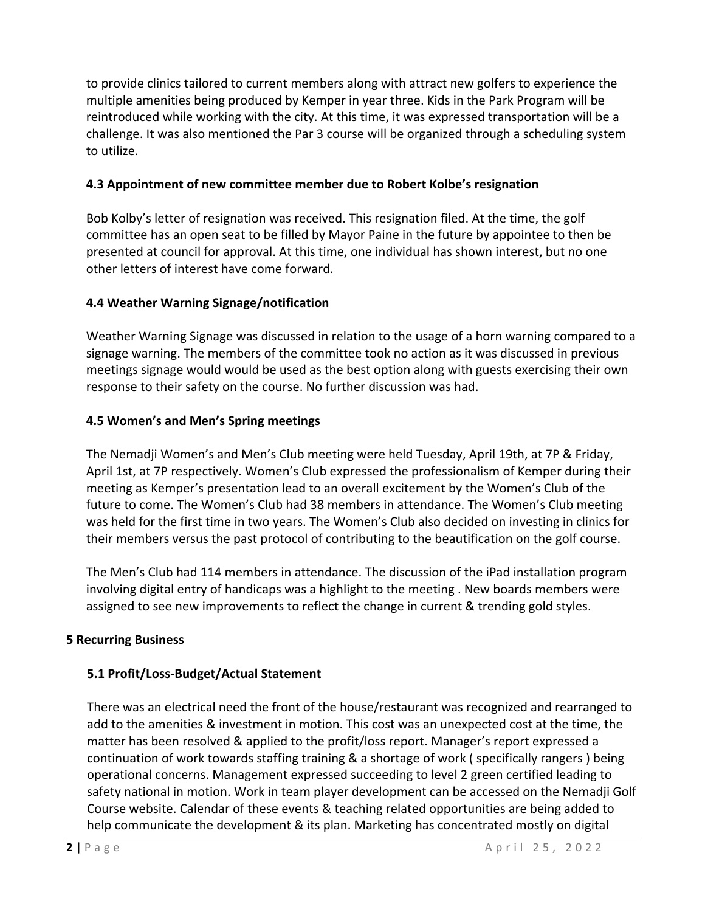to provide clinics tailored to current members along with attract new golfers to experience the multiple amenities being produced by Kemper in year three. Kids in the Park Program will be reintroduced while working with the city. At this time, it was expressed transportation will be a challenge. It was also mentioned the Par 3 course will be organized through a scheduling system to utilize.

## **4.3 Appointment of new committee member due to Robert Kolbe's resignation**

Bob Kolby's letter of resignation was received. This resignation filed. At the time, the golf committee has an open seat to be filled by Mayor Paine in the future by appointee to then be presented at council for approval. At this time, one individual has shown interest, but no one other letters of interest have come forward.

## **4.4 Weather Warning Signage/notification**

Weather Warning Signage was discussed in relation to the usage of a horn warning compared to a signage warning. The members of the committee took no action as it was discussed in previous meetings signage would would be used as the best option along with guests exercising their own response to their safety on the course. No further discussion was had.

## **4.5 Women's and Men's Spring meetings**

The Nemadji Women's and Men's Club meeting were held Tuesday, April 19th, at 7P & Friday, April 1st, at 7P respectively. Women's Club expressed the professionalism of Kemper during their meeting as Kemper's presentation lead to an overall excitement by the Women's Club of the future to come. The Women's Club had 38 members in attendance. The Women's Club meeting was held for the first time in two years. The Women's Club also decided on investing in clinics for their members versus the past protocol of contributing to the beautification on the golf course.

The Men's Club had 114 members in attendance. The discussion of the iPad installation program involving digital entry of handicaps was a highlight to the meeting . New boards members were assigned to see new improvements to reflect the change in current & trending gold styles.

## **5 Recurring Business**

# **5.1 Profit/Loss‐Budget/Actual Statement**

There was an electrical need the front of the house/restaurant was recognized and rearranged to add to the amenities & investment in motion. This cost was an unexpected cost at the time, the matter has been resolved & applied to the profit/loss report. Manager's report expressed a continuation of work towards staffing training & a shortage of work ( specifically rangers ) being operational concerns. Management expressed succeeding to level 2 green certified leading to safety national in motion. Work in team player development can be accessed on the Nemadji Golf Course website. Calendar of these events & teaching related opportunities are being added to help communicate the development & its plan. Marketing has concentrated mostly on digital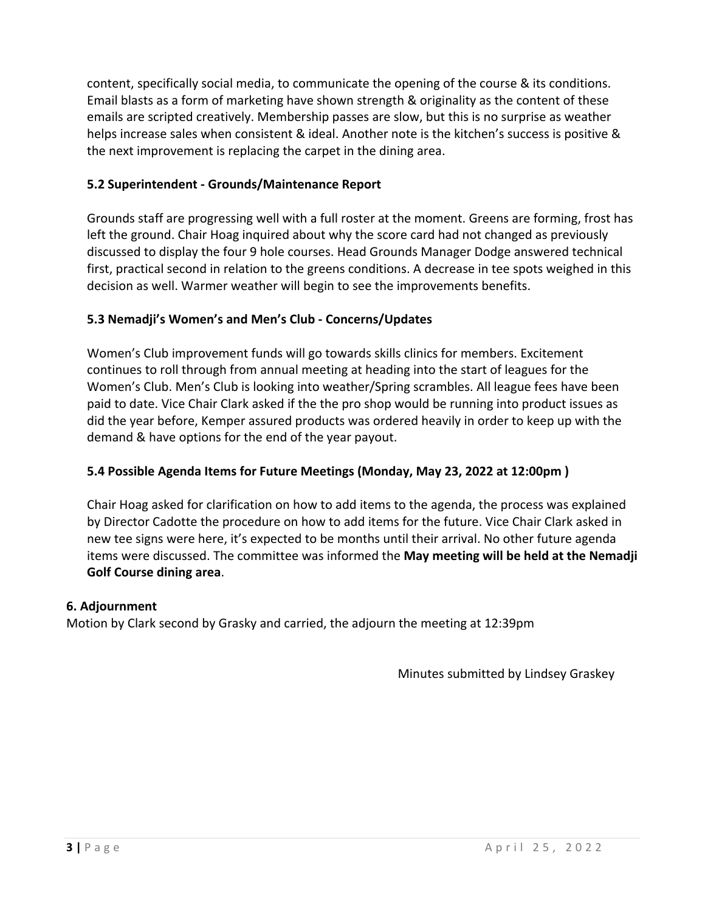content, specifically social media, to communicate the opening of the course & its conditions. Email blasts as a form of marketing have shown strength & originality as the content of these emails are scripted creatively. Membership passes are slow, but this is no surprise as weather helps increase sales when consistent & ideal. Another note is the kitchen's success is positive & the next improvement is replacing the carpet in the dining area.

# **5.2 Superintendent ‐ Grounds/Maintenance Report**

Grounds staff are progressing well with a full roster at the moment. Greens are forming, frost has left the ground. Chair Hoag inquired about why the score card had not changed as previously discussed to display the four 9 hole courses. Head Grounds Manager Dodge answered technical first, practical second in relation to the greens conditions. A decrease in tee spots weighed in this decision as well. Warmer weather will begin to see the improvements benefits.

# **5.3 Nemadji's Women's and Men's Club ‐ Concerns/Updates**

Women's Club improvement funds will go towards skills clinics for members. Excitement continues to roll through from annual meeting at heading into the start of leagues for the Women's Club. Men's Club is looking into weather/Spring scrambles. All league fees have been paid to date. Vice Chair Clark asked if the the pro shop would be running into product issues as did the year before, Kemper assured products was ordered heavily in order to keep up with the demand & have options for the end of the year payout.

# **5.4 Possible Agenda Items for Future Meetings (Monday, May 23, 2022 at 12:00pm )**

Chair Hoag asked for clarification on how to add items to the agenda, the process was explained by Director Cadotte the procedure on how to add items for the future. Vice Chair Clark asked in new tee signs were here, it's expected to be months until their arrival. No other future agenda items were discussed. The committee was informed the **May meeting will be held at the Nemadji Golf Course dining area**.

# **6. Adjournment**

Motion by Clark second by Grasky and carried, the adjourn the meeting at 12:39pm

Minutes submitted by Lindsey Graskey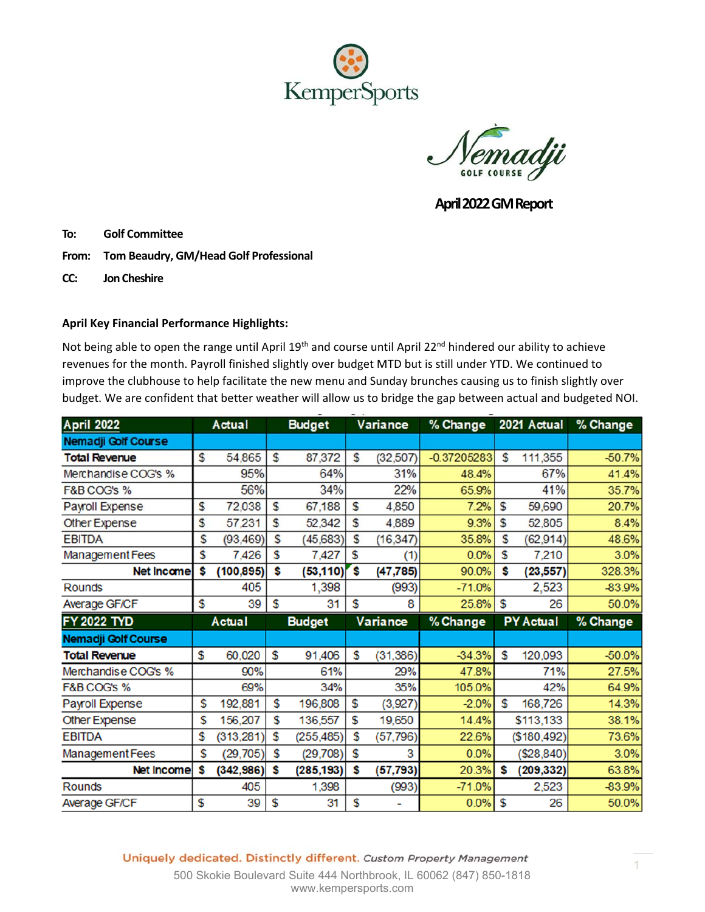

**GOLF COURSE** 

 **April 2022 GM Report** 

**To: Golf Committee** 

- From: Tom Beaudry, GM/Head Golf Professional
- **CC: Jon Cheshire**

### **April Key Financial Performance Highlights:**

Not being able to open the range until April 19<sup>th</sup> and course until April 22<sup>nd</sup> hindered our ability to achieve revenues for the month. Payroll finished slightly over budget MTD but is still under YTD. We continued to improve the clubhouse to help facilitate the new menu and Sunday brunches causing us to finish slightly over budget. We are confident that better weather will allow us to bridge the gap between actual and budgeted NOI.

| <b>April 2022</b>      |    | Actual     |    | <b>Budget</b> |    | Variance  | % Change      |     | 2021 Actual      | % Change |
|------------------------|----|------------|----|---------------|----|-----------|---------------|-----|------------------|----------|
| Nemadji Golf Course    |    |            |    |               |    |           |               |     |                  |          |
| <b>Total Revenue</b>   | S  | 54,865     | S  | 87,372        | S  | (32, 507) | $-0.37205283$ | S   | 111,355          | $-50.7%$ |
| Merchandise COG's %    |    | 95%        |    | 64%           |    | 31%       | 48.4%         |     | 67%              | 41.4%    |
| F&B COG's %            |    | 56%        |    | 34%           |    | 22%       | 65.9%         |     | 41%              | 35.7%    |
| Payroll Expense        | \$ | 72,038     | S  | 67,188        | \$ | 4,850     | 7.2%          | \$  | 59,690           | 20.7%    |
| Other Expense          | \$ | 57,231     | S  | 52,342        | \$ | 4,889     | 9.3%          | \$  | 52,805           | 8.4%     |
| <b>EBITDA</b>          | \$ | (93, 469)  | S  | (45, 683)     | \$ | (16, 347) | 35.8%         | S   | (62, 914)        | 48.6%    |
| <b>Management Fees</b> | \$ | 7,426      | \$ | 7,427         | \$ | (1)       | 0.0%          | \$  | 7,210            | 3.0%     |
| <b>Net Incame</b>      | \$ | (100, 895) | \$ | (53, 110)     | \$ | (47, 785) | 90.0%         | Ŝ   | (23, 557)        | 328.3%   |
| <b>Rounds</b>          |    | 405        |    | 1,398         |    | (993)     | $-71.0%$      |     | 2,523            | -83.9%   |
| Average GF/CF          | \$ | 39         | \$ | 31            | \$ | 8         | 25.8%         | \$  | 26               | 50.0%    |
|                        |    |            |    |               |    |           |               |     |                  |          |
| <b>FY 2022 TYD</b>     |    | Actual     |    | <b>Budget</b> |    | Variance  | % Change      |     | <b>PY Actual</b> | % Change |
| Nemadji Golf Course    |    |            |    |               |    |           |               |     |                  |          |
| <b>Total Revenue</b>   | \$ | 60,020     | S  | 91,406        | \$ | (31, 386) | $-34.3%$      | \$. | 120,093          | $-50.0%$ |
| Merchandise COG's %    |    | 90%        |    | 61%           |    | 29%       | 47.8%         |     | 71%              | 27.5%    |
| F&B COG's %            |    | 69%        |    | 34%           |    | 35%       | 105.0%        |     | 42%              | 64.9%    |
| Payroll Expense        | \$ | 192,881    | \$ | 196,808       | \$ | (3,927)   | $-2.0%$       | \$  | 168,726          | 14.3%    |
| <b>Other Expense</b>   | \$ | 156,207    | \$ | 136,557       | \$ | 19,650    | 14.4%         |     | \$113,133        | 38.1%    |
| <b>EBITDA</b>          | \$ | (313, 281) | S  | (255, 485)    | \$ | (57, 796) | 22.6%         |     | (\$180,492)      | 73.6%    |
| <b>Management Fees</b> | \$ | (29, 705)  | \$ | (29, 708)     | \$ | 3         | 0.0%          |     | (\$28,840)       | 3.0%     |
| Net Income             | s  | (342, 986) | \$ | (285, 193)    | \$ | (57, 793) | 20.3%         | \$  | (209, 332)       | 63.8%    |
| <b>Rounds</b>          |    | 405        |    | 1,398         |    | (993)     | $-71.0%$      |     | 2,523            | -83.9%   |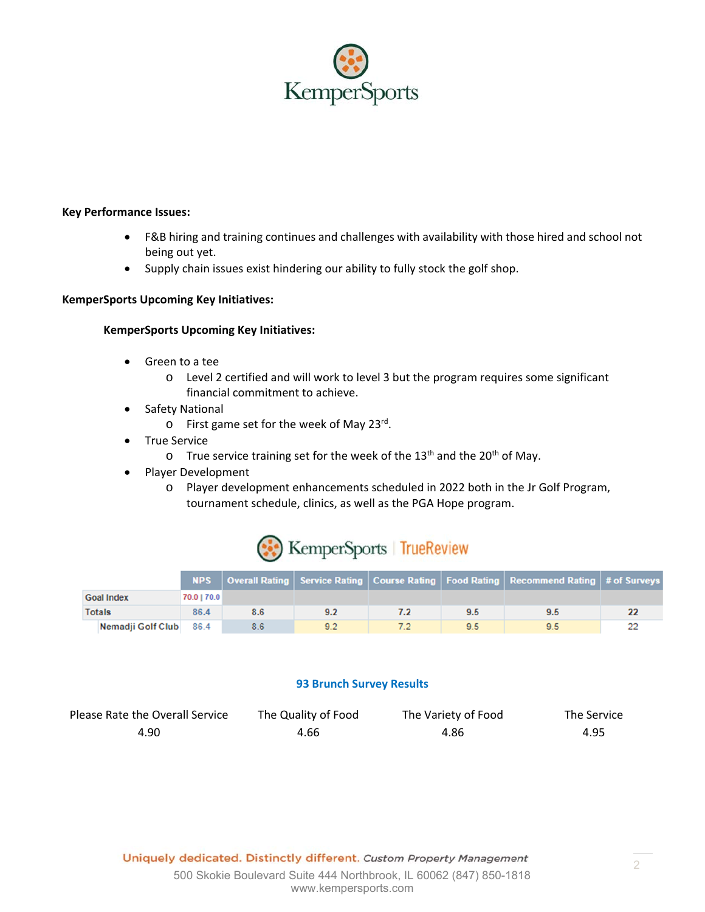

#### **Key Performance Issues:**

- F&B hiring and training continues and challenges with availability with those hired and school not being out yet.
- Supply chain issues exist hindering our ability to fully stock the golf shop.

#### **KemperSports Upcoming Key Initiatives:**

#### **KemperSports Upcoming Key Initiatives:**

- Green to a tee
	- o Level 2 certified and will work to level 3 but the program requires some significant financial commitment to achieve.
- Safety National
	- o First game set for the week of May 23rd.
- True Service
	- $\circ$  True service training set for the week of the 13<sup>th</sup> and the 20<sup>th</sup> of May.
- Player Development
	- o Player development enhancements scheduled in 2022 both in the Jr Golf Program, tournament schedule, clinics, as well as the PGA Hope program.



|                        |             |     |     |     | <b>NPS</b>   Overall Rating   Service Rating   Course Rating   Food Rating   Recommend Rating   # of Surveys |  |
|------------------------|-------------|-----|-----|-----|--------------------------------------------------------------------------------------------------------------|--|
| <b>Goal Index</b>      | 70.0   70.0 |     |     |     |                                                                                                              |  |
| <b>Totals</b>          | 86.4        | 8.6 | 9.2 | 9.5 | 9.5                                                                                                          |  |
| Nemadji Golf Club 86.4 |             | 8.6 | 9.2 | 9.5 | 95                                                                                                           |  |

#### **93 Brunch Survey Results**

| Please Rate the Overall Service | The Quality of Food | The Variety of Food | The Service |
|---------------------------------|---------------------|---------------------|-------------|
| 4.90                            | 4.66                | 4.86                | 4.95        |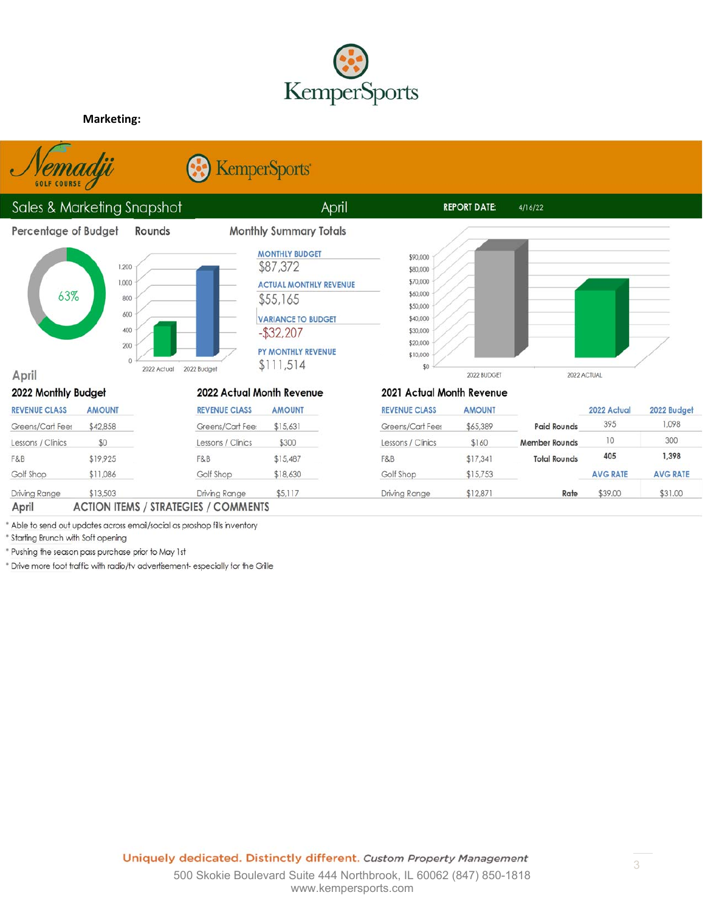

April

**Monthly Summary Totals** 

**MONTHLY BUDGET** 

**ACTUAL MONTHLY REVENUE** 

**VARIANCE TO BUDGET** 

PY MONTHLY REVENUE

\$87,372

 $$55,165$ 

 $-$ \$32,207

 $$111,514$ 

#### **Marketing:**



**C** KemperSports

# Sales & Marketing Snapshot

#### Percentage of Budget



April



Rounds





 $4/16/22$ 

| 2022 Monthly Budget  |                    | 2022 Actual Month Revenue |               |  |  |  |
|----------------------|--------------------|---------------------------|---------------|--|--|--|
| <b>REVENUE CLASS</b> | <b>AMOUNT</b>      | <b>REVENUE CLASS</b>      | <b>AMOUNT</b> |  |  |  |
| Greens/Cart Fees     | \$42,858           | Greens/Cart Fee:          | \$15,631      |  |  |  |
| Lessons / Clinics    | \$0                | Lessons / Clinics         | \$300         |  |  |  |
| F&B                  | \$19,925           | F&B                       | \$15,487      |  |  |  |
| Golf Shop            | \$11,086           | Golf Shop                 | \$18,630      |  |  |  |
| Driving Range        | \$13,503           | Driving Range             | \$5,117       |  |  |  |
| $\sim$               | <b>A CHICALITY</b> | 1.7.7.11111117.           |               |  |  |  |

#### 2021 Actual Month Revenue

**REPORT DATE:** 

| <b>REVENUE CLASS</b> | <b>AMOUNT</b> |                      | 2022 Actual     | 2022 Budget     |
|----------------------|---------------|----------------------|-----------------|-----------------|
| Greens/Cart Fees     | \$65,389      | <b>Paid Rounds</b>   | 395             | 1,098           |
| Lessons / Clinics    | \$160         | <b>Member Rounds</b> | 10              | 300             |
| F&B                  | \$17,341      | <b>Total Rounds</b>  | 405             | 1,398           |
| Golf Shop            | \$15.753      |                      | <b>AVG RATE</b> | <b>AVG RATE</b> |
| Driving Range        | \$12,871      | Rate                 | \$39.00         | \$31.00         |

#### April **ACTION ITEMS / STRATEGIES / COMMENTS**

\* Able to send out updates across email/social as proshop fills inventory

\* Starting Brunch with Soft opening

\* Pushing the season pass purchase prior to May 1st

\* Drive more foot traffic with radio/tv advertisement- especially for the Grille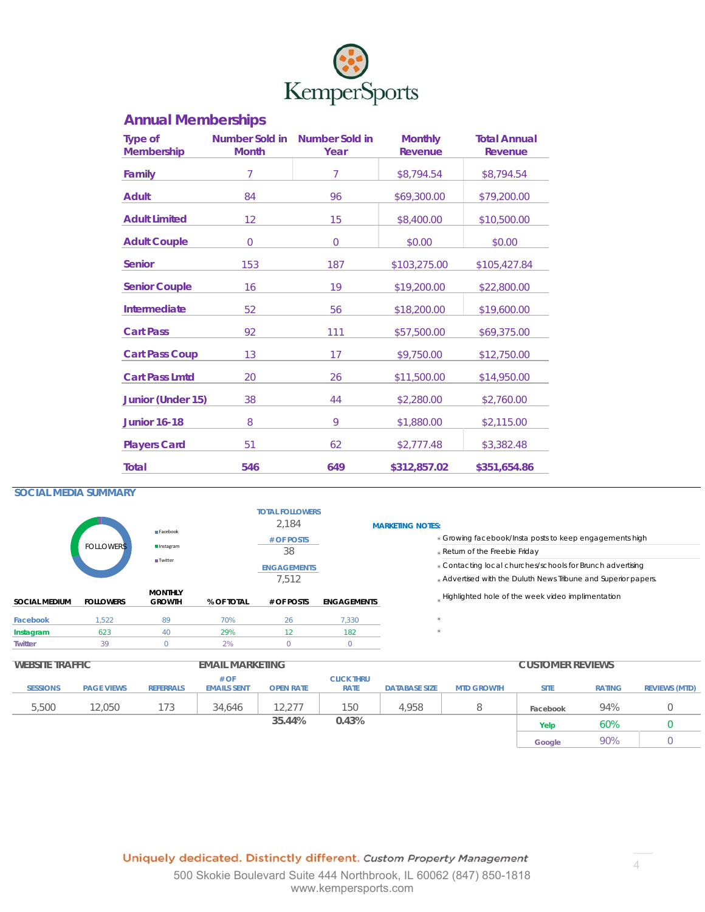

# **Annual Memberships**

| <b>Type of</b><br><b>Membership</b> | <b>Month</b>   | Number Sold in Number Sold in<br>Year | <b>Monthly</b><br>Revenue | <b>Total Annual</b><br>Revenue |
|-------------------------------------|----------------|---------------------------------------|---------------------------|--------------------------------|
| Family                              | $\overline{7}$ | 7                                     | \$8,794.54                | \$8,794.54                     |
| <b>Adult</b>                        | 84             | 96                                    | \$69,300.00               | \$79,200.00                    |
| <b>Adult Limited</b>                | 12             | 15                                    | \$8,400.00                | \$10,500.00                    |
| <b>Adult Couple</b>                 | 0              | 0                                     | \$0.00                    | \$0.00                         |
| <b>Senior</b>                       | 153            | 187                                   | \$103,275.00              | \$105,427.84                   |
| <b>Senior Couple</b>                | 16             | 19                                    | \$19,200.00               | \$22,800.00                    |
| Intermediate                        | 52             | 56                                    | \$18,200.00               | \$19,600.00                    |
| <b>Cart Pass</b>                    | 92             | 111                                   | \$57,500.00               | \$69,375.00                    |
| <b>Cart Pass Coup</b>               | 13             | 17                                    | \$9,750.00                | \$12,750.00                    |
| <b>Cart Pass Lmtd</b>               | 20             | 26                                    | \$11,500.00               | \$14,950.00                    |
| Junior (Under 15)                   | 38             | 44                                    | \$2,280.00                | \$2,760.00                     |
| <b>Junior 16-18</b>                 | 8              | 9                                     | \$1,880.00                | \$2,115.00                     |
| <b>Players Card</b>                 | 51             | 62                                    | \$2,777.48                | \$3,382.48                     |
| Total                               | 546            | 649                                   | \$312,857.02              | \$351,654.86                   |

#### **SOCIAL MEDIA SUMMARY**

|                        |                  | Facebook                        |                        | <b>TOTAL FOLLOWERS</b><br>2.184 |                    | <b>MARKETING NOTES:</b>                                                                                                      |
|------------------------|------------------|---------------------------------|------------------------|---------------------------------|--------------------|------------------------------------------------------------------------------------------------------------------------------|
|                        | <b>FOLLOWERS</b> | Instagram                       |                        | # OF POSTS<br>38                |                    | * Growing facebook/Insta posts to keep engagements high<br>* Return of the Freebie Friday                                    |
|                        |                  | <b>Twitter</b>                  |                        | <b>ENGAGEMENTS</b><br>7.512     |                    | * Contacting local churches/schools for Brunch advertising<br>* Advertised with the Duluth News Tribune and Superior papers. |
| <b>SOCIAL MEDIUM</b>   | <b>FOLLOWERS</b> | <b>MONTHLY</b><br><b>GROWTH</b> | % OF TOTAL             | # OF POSTS                      | <b>ENGAGEMENTS</b> | Highlighted hole of the week video implimentation                                                                            |
| Facebook               | 1.522            | 89                              | 70%                    | 26                              | 7,330              |                                                                                                                              |
| Instagram              | 623              | 40                              | 29%                    | 12 <sup>°</sup>                 | 182                |                                                                                                                              |
| <b>Twitter</b>         | 39               | $\Omega$                        | 2%                     | $\circ$                         | $\circ$            |                                                                                                                              |
| <b>WEBSITE TRAFFIC</b> |                  |                                 | <b>EMAIL MARKETING</b> |                                 |                    | <b>CUSTOMER REVIEWS</b>                                                                                                      |

| WEDSHE IKAFFIU |                 |                   |                  | EIVIAIL IVIAKNETIING. |                  |                   |                      |                   | <b>UUSIUIVIEK KEVIEWS</b> |               |                      |  |
|----------------|-----------------|-------------------|------------------|-----------------------|------------------|-------------------|----------------------|-------------------|---------------------------|---------------|----------------------|--|
|                |                 |                   |                  | # OF                  |                  | <b>CLICK THRU</b> |                      |                   |                           |               |                      |  |
|                | <b>SESSIONS</b> | <b>PAGE VIEWS</b> | <b>REFERRALS</b> | <b>EMAILS SENT</b>    | <b>OPEN RATE</b> | <b>RATE</b>       | <b>DATABASE SIZE</b> | <b>MTD GROWTH</b> | <b>SITE</b>               | <b>RATING</b> | <b>REVIEWS (MTD)</b> |  |
|                |                 |                   |                  |                       |                  |                   |                      |                   |                           |               |                      |  |
|                | 5,500           | 12.050            | 173              | 34,646                | 12.277           | 150               | 4,958                |                   | Facebook                  | 94%           |                      |  |
|                |                 |                   |                  |                       | 35.44%           | 0.43%             |                      |                   | Yelp                      | 60%           |                      |  |
|                |                 |                   |                  |                       |                  |                   |                      |                   | Google                    | 90%           |                      |  |